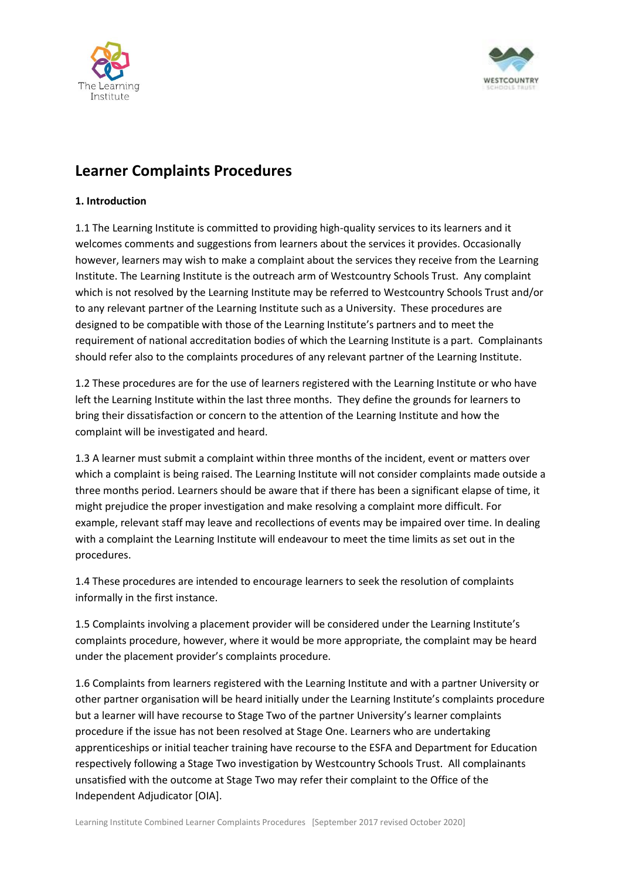



# **Learner Complaints Procedures**

# **1. Introduction**

1.1 The Learning Institute is committed to providing high-quality services to its learners and it welcomes comments and suggestions from learners about the services it provides. Occasionally however, learners may wish to make a complaint about the services they receive from the Learning Institute. The Learning Institute is the outreach arm of Westcountry Schools Trust. Any complaint which is not resolved by the Learning Institute may be referred to Westcountry Schools Trust and/or to any relevant partner of the Learning Institute such as a University. These procedures are designed to be compatible with those of the Learning Institute's partners and to meet the requirement of national accreditation bodies of which the Learning Institute is a part. Complainants should refer also to the complaints procedures of any relevant partner of the Learning Institute.

1.2 These procedures are for the use of learners registered with the Learning Institute or who have left the Learning Institute within the last three months. They define the grounds for learners to bring their dissatisfaction or concern to the attention of the Learning Institute and how the complaint will be investigated and heard.

1.3 A learner must submit a complaint within three months of the incident, event or matters over which a complaint is being raised. The Learning Institute will not consider complaints made outside a three months period. Learners should be aware that if there has been a significant elapse of time, it might prejudice the proper investigation and make resolving a complaint more difficult. For example, relevant staff may leave and recollections of events may be impaired over time. In dealing with a complaint the Learning Institute will endeavour to meet the time limits as set out in the procedures.

1.4 These procedures are intended to encourage learners to seek the resolution of complaints informally in the first instance.

1.5 Complaints involving a placement provider will be considered under the Learning Institute's complaints procedure, however, where it would be more appropriate, the complaint may be heard under the placement provider's complaints procedure.

1.6 Complaints from learners registered with the Learning Institute and with a partner University or other partner organisation will be heard initially under the Learning Institute's complaints procedure but a learner will have recourse to Stage Two of the partner University's learner complaints procedure if the issue has not been resolved at Stage One. Learners who are undertaking apprenticeships or initial teacher training have recourse to the ESFA and Department for Education respectively following a Stage Two investigation by Westcountry Schools Trust. All complainants unsatisfied with the outcome at Stage Two may refer their complaint to the Office of the Independent Adjudicator [OIA].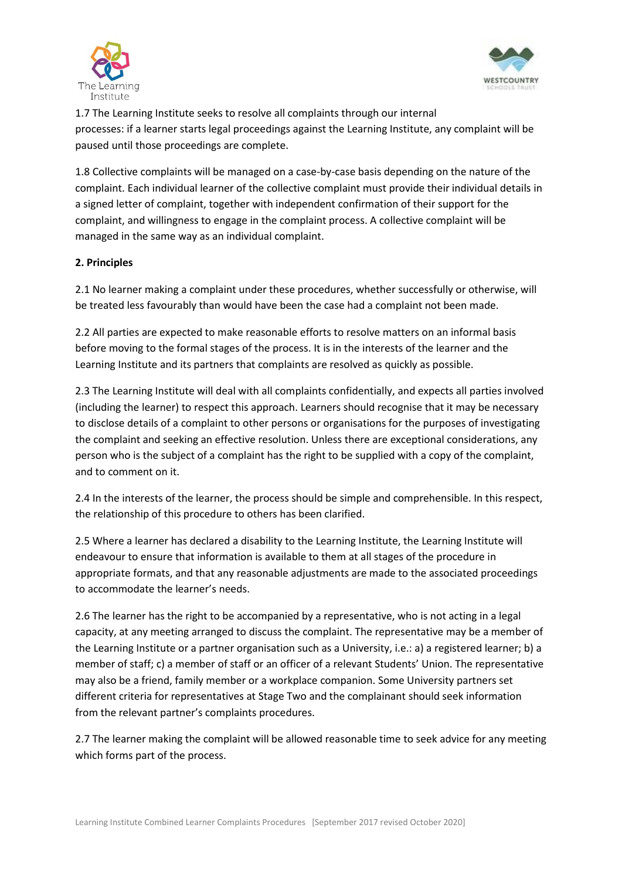



1.7 The Learning Institute seeks to resolve all complaints through our internal processes: if a learner starts legal proceedings against the Learning Institute, any complaint will be paused until those proceedings are complete.

1.8 Collective complaints will be managed on a case-by-case basis depending on the nature of the complaint. Each individual learner of the collective complaint must provide their individual details in a signed letter of complaint, together with independent confirmation of their support for the complaint, and willingness to engage in the complaint process. A collective complaint will be managed in the same way as an individual complaint.

# **2. Principles**

2.1 No learner making a complaint under these procedures, whether successfully or otherwise, will be treated less favourably than would have been the case had a complaint not been made.

2.2 All parties are expected to make reasonable efforts to resolve matters on an informal basis before moving to the formal stages of the process. It is in the interests of the learner and the Learning Institute and its partners that complaints are resolved as quickly as possible.

2.3 The Learning Institute will deal with all complaints confidentially, and expects all parties involved (including the learner) to respect this approach. Learners should recognise that it may be necessary to disclose details of a complaint to other persons or organisations for the purposes of investigating the complaint and seeking an effective resolution. Unless there are exceptional considerations, any person who is the subject of a complaint has the right to be supplied with a copy of the complaint, and to comment on it.

2.4 In the interests of the learner, the process should be simple and comprehensible. In this respect, the relationship of this procedure to others has been clarified.

2.5 Where a learner has declared a disability to the Learning Institute, the Learning Institute will endeavour to ensure that information is available to them at all stages of the procedure in appropriate formats, and that any reasonable adjustments are made to the associated proceedings to accommodate the learner's needs.

2.6 The learner has the right to be accompanied by a representative, who is not acting in a legal capacity, at any meeting arranged to discuss the complaint. The representative may be a member of the Learning Institute or a partner organisation such as a University, i.e.: a) a registered learner; b) a member of staff; c) a member of staff or an officer of a relevant Students' Union. The representative may also be a friend, family member or a workplace companion. Some University partners set different criteria for representatives at Stage Two and the complainant should seek information from the relevant partner's complaints procedures.

2.7 The learner making the complaint will be allowed reasonable time to seek advice for any meeting which forms part of the process.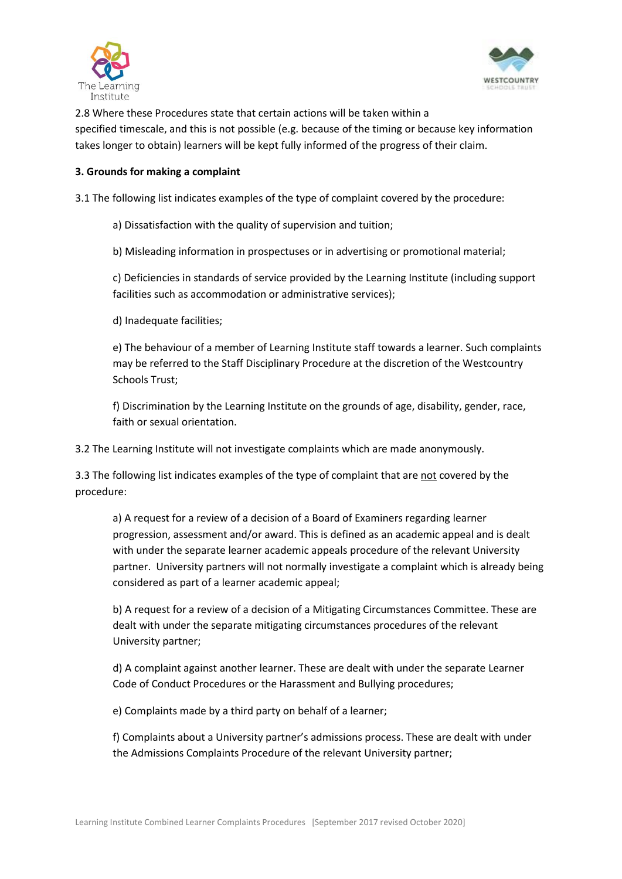



2.8 Where these Procedures state that certain actions will be taken within a specified timescale, and this is not possible (e.g. because of the timing or because key information takes longer to obtain) learners will be kept fully informed of the progress of their claim.

#### **3. Grounds for making a complaint**

3.1 The following list indicates examples of the type of complaint covered by the procedure:

a) Dissatisfaction with the quality of supervision and tuition;

b) Misleading information in prospectuses or in advertising or promotional material;

c) Deficiencies in standards of service provided by the Learning Institute (including support facilities such as accommodation or administrative services);

d) Inadequate facilities;

e) The behaviour of a member of Learning Institute staff towards a learner. Such complaints may be referred to the Staff Disciplinary Procedure at the discretion of the Westcountry Schools Trust;

f) Discrimination by the Learning Institute on the grounds of age, disability, gender, race, faith or sexual orientation.

3.2 The Learning Institute will not investigate complaints which are made anonymously.

3.3 The following list indicates examples of the type of complaint that are not covered by the procedure:

a) A request for a review of a decision of a Board of Examiners regarding learner progression, assessment and/or award. This is defined as an academic appeal and is dealt with under the separate learner academic appeals procedure of the relevant University partner. University partners will not normally investigate a complaint which is already being considered as part of a learner academic appeal;

b) A request for a review of a decision of a Mitigating Circumstances Committee. These are dealt with under the separate mitigating circumstances procedures of the relevant University partner;

d) A complaint against another learner. These are dealt with under the separate Learner Code of Conduct Procedures or the Harassment and Bullying procedures;

e) Complaints made by a third party on behalf of a learner;

f) Complaints about a University partner's admissions process. These are dealt with under the Admissions Complaints Procedure of the relevant University partner;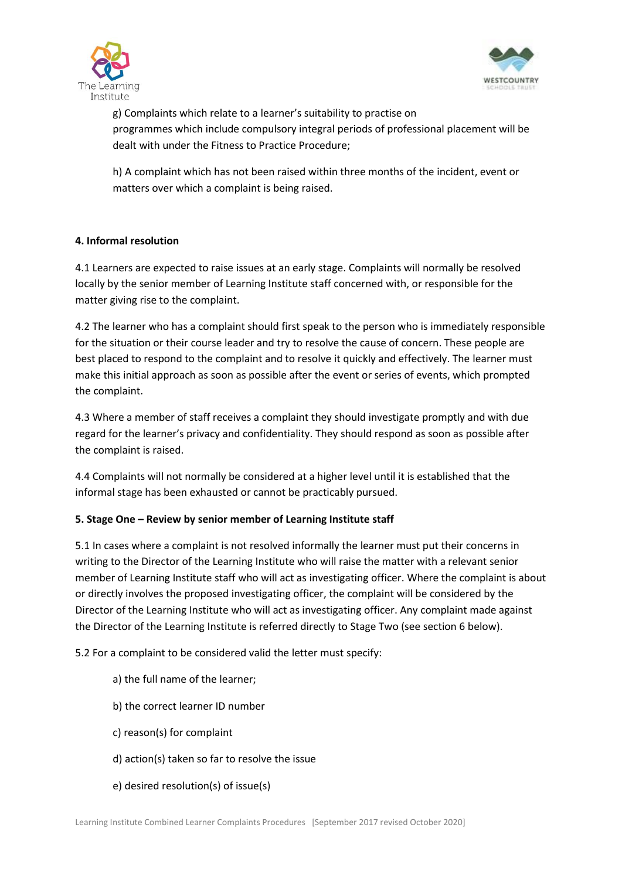



g) Complaints which relate to a learner's suitability to practise on programmes which include compulsory integral periods of professional placement will be dealt with under the Fitness to Practice Procedure;

h) A complaint which has not been raised within three months of the incident, event or matters over which a complaint is being raised.

# **4. Informal resolution**

4.1 Learners are expected to raise issues at an early stage. Complaints will normally be resolved locally by the senior member of Learning Institute staff concerned with, or responsible for the matter giving rise to the complaint.

4.2 The learner who has a complaint should first speak to the person who is immediately responsible for the situation or their course leader and try to resolve the cause of concern. These people are best placed to respond to the complaint and to resolve it quickly and effectively. The learner must make this initial approach as soon as possible after the event or series of events, which prompted the complaint.

4.3 Where a member of staff receives a complaint they should investigate promptly and with due regard for the learner's privacy and confidentiality. They should respond as soon as possible after the complaint is raised.

4.4 Complaints will not normally be considered at a higher level until it is established that the informal stage has been exhausted or cannot be practicably pursued.

# **5. Stage One – Review by senior member of Learning Institute staff**

5.1 In cases where a complaint is not resolved informally the learner must put their concerns in writing to the Director of the Learning Institute who will raise the matter with a relevant senior member of Learning Institute staff who will act as investigating officer. Where the complaint is about or directly involves the proposed investigating officer, the complaint will be considered by the Director of the Learning Institute who will act as investigating officer. Any complaint made against the Director of the Learning Institute is referred directly to Stage Two (see section 6 below).

5.2 For a complaint to be considered valid the letter must specify:

- a) the full name of the learner;
- b) the correct learner ID number
- c) reason(s) for complaint
- d) action(s) taken so far to resolve the issue
- e) desired resolution(s) of issue(s)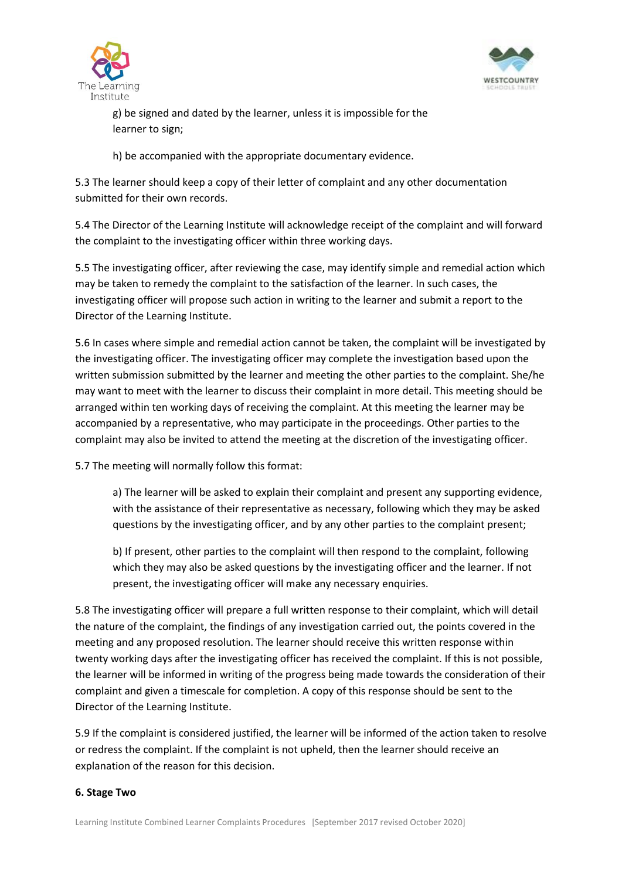



g) be signed and dated by the learner, unless it is impossible for the learner to sign;

h) be accompanied with the appropriate documentary evidence.

5.3 The learner should keep a copy of their letter of complaint and any other documentation submitted for their own records.

5.4 The Director of the Learning Institute will acknowledge receipt of the complaint and will forward the complaint to the investigating officer within three working days.

5.5 The investigating officer, after reviewing the case, may identify simple and remedial action which may be taken to remedy the complaint to the satisfaction of the learner. In such cases, the investigating officer will propose such action in writing to the learner and submit a report to the Director of the Learning Institute.

5.6 In cases where simple and remedial action cannot be taken, the complaint will be investigated by the investigating officer. The investigating officer may complete the investigation based upon the written submission submitted by the learner and meeting the other parties to the complaint. She/he may want to meet with the learner to discuss their complaint in more detail. This meeting should be arranged within ten working days of receiving the complaint. At this meeting the learner may be accompanied by a representative, who may participate in the proceedings. Other parties to the complaint may also be invited to attend the meeting at the discretion of the investigating officer.

5.7 The meeting will normally follow this format:

a) The learner will be asked to explain their complaint and present any supporting evidence, with the assistance of their representative as necessary, following which they may be asked questions by the investigating officer, and by any other parties to the complaint present;

b) If present, other parties to the complaint will then respond to the complaint, following which they may also be asked questions by the investigating officer and the learner. If not present, the investigating officer will make any necessary enquiries.

5.8 The investigating officer will prepare a full written response to their complaint, which will detail the nature of the complaint, the findings of any investigation carried out, the points covered in the meeting and any proposed resolution. The learner should receive this written response within twenty working days after the investigating officer has received the complaint. If this is not possible, the learner will be informed in writing of the progress being made towards the consideration of their complaint and given a timescale for completion. A copy of this response should be sent to the Director of the Learning Institute.

5.9 If the complaint is considered justified, the learner will be informed of the action taken to resolve or redress the complaint. If the complaint is not upheld, then the learner should receive an explanation of the reason for this decision.

# **6. Stage Two**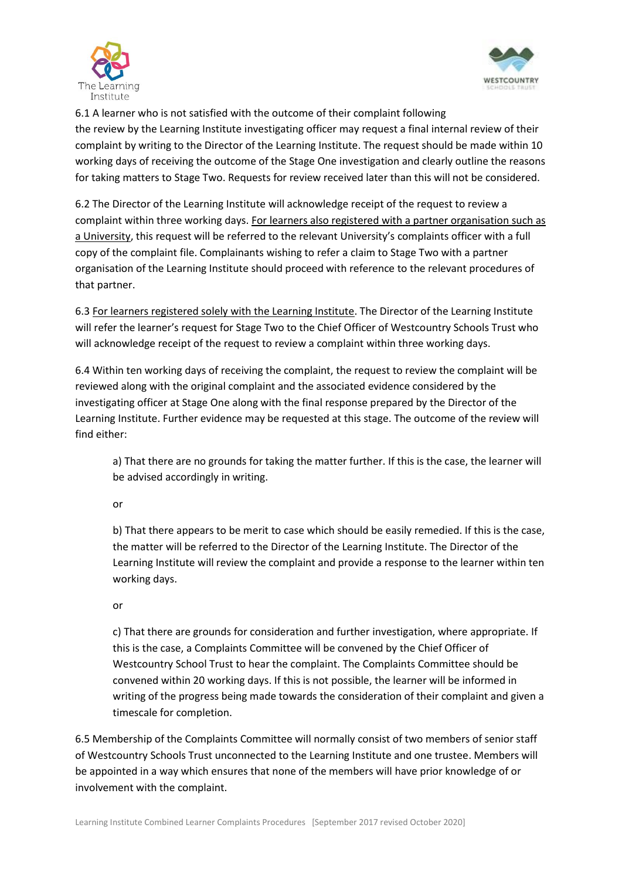



6.1 A learner who is not satisfied with the outcome of their complaint following the review by the Learning Institute investigating officer may request a final internal review of their complaint by writing to the Director of the Learning Institute. The request should be made within 10 working days of receiving the outcome of the Stage One investigation and clearly outline the reasons for taking matters to Stage Two. Requests for review received later than this will not be considered.

6.2 The Director of the Learning Institute will acknowledge receipt of the request to review a complaint within three working days. For learners also registered with a partner organisation such as a University, this request will be referred to the relevant University's complaints officer with a full copy of the complaint file. Complainants wishing to refer a claim to Stage Two with a partner organisation of the Learning Institute should proceed with reference to the relevant procedures of that partner.

6.3 For learners registered solely with the Learning Institute. The Director of the Learning Institute will refer the learner's request for Stage Two to the Chief Officer of Westcountry Schools Trust who will acknowledge receipt of the request to review a complaint within three working days.

6.4 Within ten working days of receiving the complaint, the request to review the complaint will be reviewed along with the original complaint and the associated evidence considered by the investigating officer at Stage One along with the final response prepared by the Director of the Learning Institute. Further evidence may be requested at this stage. The outcome of the review will find either:

a) That there are no grounds for taking the matter further. If this is the case, the learner will be advised accordingly in writing.

or

b) That there appears to be merit to case which should be easily remedied. If this is the case, the matter will be referred to the Director of the Learning Institute. The Director of the Learning Institute will review the complaint and provide a response to the learner within ten working days.

or

c) That there are grounds for consideration and further investigation, where appropriate. If this is the case, a Complaints Committee will be convened by the Chief Officer of Westcountry School Trust to hear the complaint. The Complaints Committee should be convened within 20 working days. If this is not possible, the learner will be informed in writing of the progress being made towards the consideration of their complaint and given a timescale for completion.

6.5 Membership of the Complaints Committee will normally consist of two members of senior staff of Westcountry Schools Trust unconnected to the Learning Institute and one trustee. Members will be appointed in a way which ensures that none of the members will have prior knowledge of or involvement with the complaint.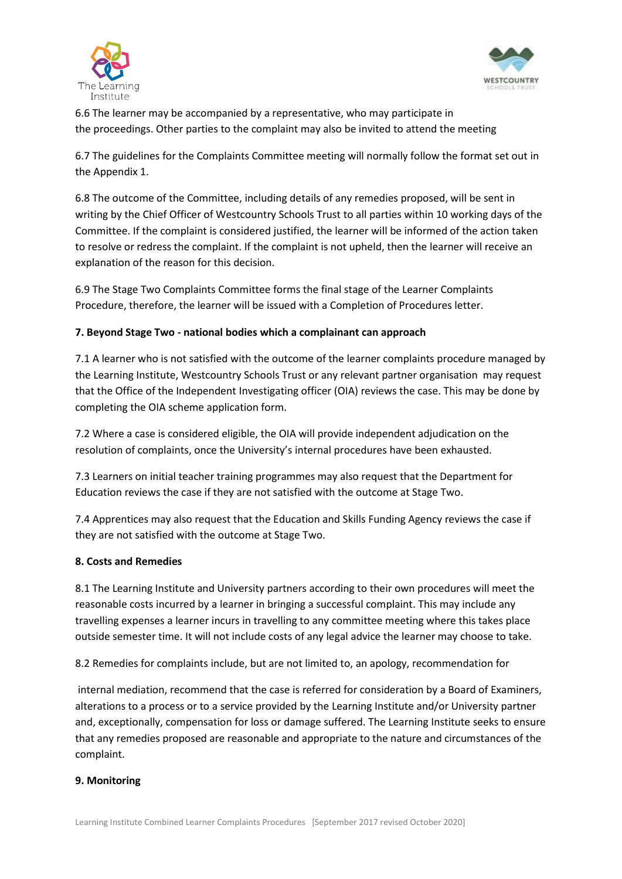



6.6 The learner may be accompanied by a representative, who may participate in the proceedings. Other parties to the complaint may also be invited to attend the meeting

6.7 The guidelines for the Complaints Committee meeting will normally follow the format set out in the Appendix 1.

6.8 The outcome of the Committee, including details of any remedies proposed, will be sent in writing by the Chief Officer of Westcountry Schools Trust to all parties within 10 working days of the Committee. If the complaint is considered justified, the learner will be informed of the action taken to resolve or redress the complaint. If the complaint is not upheld, then the learner will receive an explanation of the reason for this decision.

6.9 The Stage Two Complaints Committee forms the final stage of the Learner Complaints Procedure, therefore, the learner will be issued with a Completion of Procedures letter.

# **7. Beyond Stage Two - national bodies which a complainant can approach**

7.1 A learner who is not satisfied with the outcome of the learner complaints procedure managed by the Learning Institute, Westcountry Schools Trust or any relevant partner organisation may request that the Office of the Independent Investigating officer (OIA) reviews the case. This may be done by completing the OIA scheme application form.

7.2 Where a case is considered eligible, the OIA will provide independent adjudication on the resolution of complaints, once the University's internal procedures have been exhausted.

7.3 Learners on initial teacher training programmes may also request that the Department for Education reviews the case if they are not satisfied with the outcome at Stage Two.

7.4 Apprentices may also request that the Education and Skills Funding Agency reviews the case if they are not satisfied with the outcome at Stage Two.

# **8. Costs and Remedies**

8.1 The Learning Institute and University partners according to their own procedures will meet the reasonable costs incurred by a learner in bringing a successful complaint. This may include any travelling expenses a learner incurs in travelling to any committee meeting where this takes place outside semester time. It will not include costs of any legal advice the learner may choose to take.

8.2 Remedies for complaints include, but are not limited to, an apology, recommendation for

internal mediation, recommend that the case is referred for consideration by a Board of Examiners, alterations to a process or to a service provided by the Learning Institute and/or University partner and, exceptionally, compensation for loss or damage suffered. The Learning Institute seeks to ensure that any remedies proposed are reasonable and appropriate to the nature and circumstances of the complaint.

# **9. Monitoring**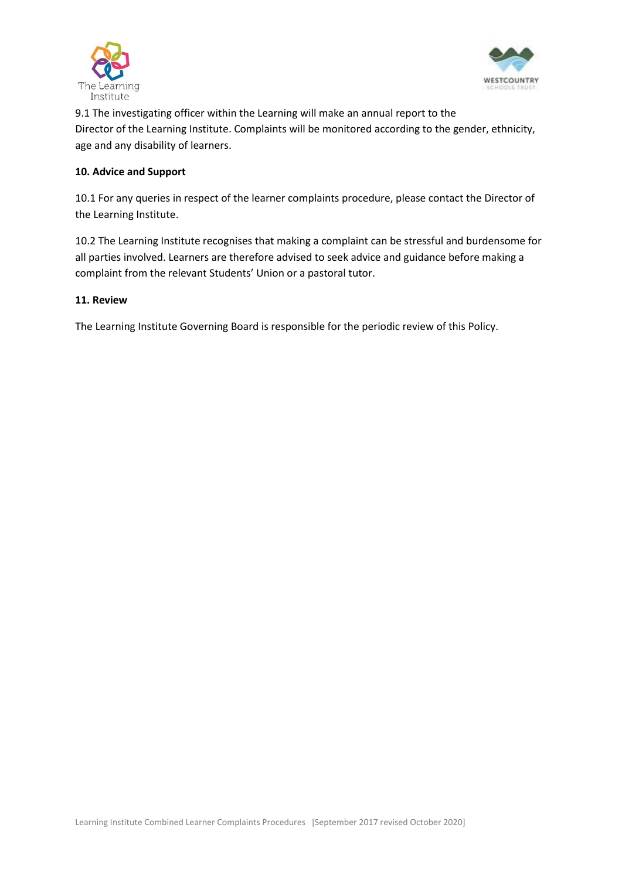



9.1 The investigating officer within the Learning will make an annual report to the Director of the Learning Institute. Complaints will be monitored according to the gender, ethnicity, age and any disability of learners.

#### **10. Advice and Support**

10.1 For any queries in respect of the learner complaints procedure, please contact the Director of the Learning Institute.

10.2 The Learning Institute recognises that making a complaint can be stressful and burdensome for all parties involved. Learners are therefore advised to seek advice and guidance before making a complaint from the relevant Students' Union or a pastoral tutor.

#### **11. Review**

The Learning Institute Governing Board is responsible for the periodic review of this Policy.